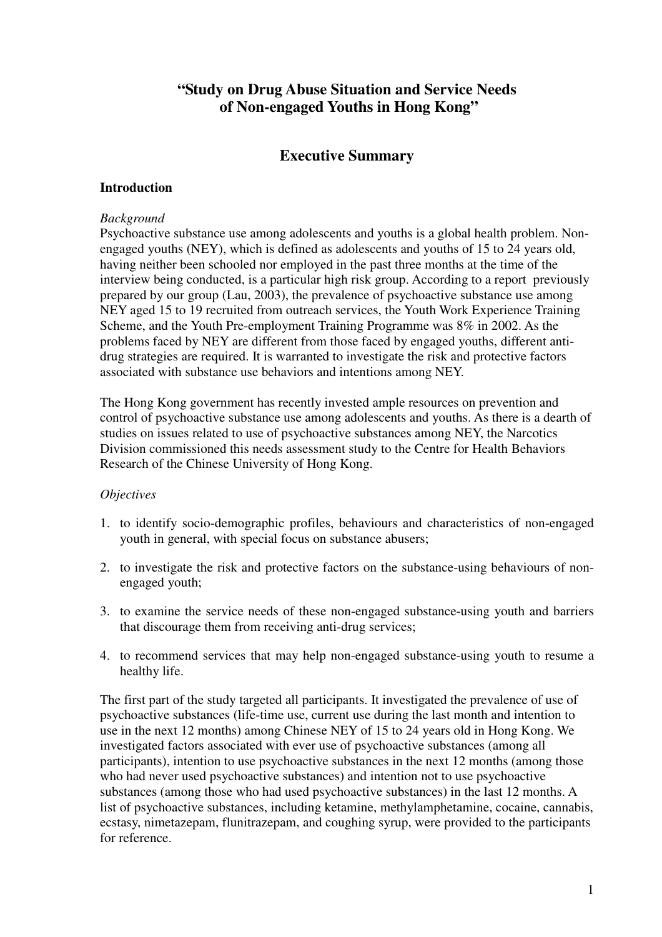# **"Study on Drug Abuse Situation and Service Needs of Non-engaged Youths in Hong Kong"**

# **Executive Summary**

# **Introduction**

## *Background*

Psychoactive substance use among adolescents and youths is a global health problem. Nonengaged youths (NEY), which is defined as adolescents and youths of 15 to 24 years old, having neither been schooled nor employed in the past three months at the time of the interview being conducted, is a particular high risk group. According to a report previously prepared by our group (Lau, 2003), the prevalence of psychoactive substance use among NEY aged 15 to 19 recruited from outreach services, the Youth Work Experience Training Scheme, and the Youth Pre-employment Training Programme was 8% in 2002. As the problems faced by NEY are different from those faced by engaged youths, different antidrug strategies are required. It is warranted to investigate the risk and protective factors associated with substance use behaviors and intentions among NEY.

The Hong Kong government has recently invested ample resources on prevention and control of psychoactive substance use among adolescents and youths. As there is a dearth of studies on issues related to use of psychoactive substances among NEY, the Narcotics Division commissioned this needs assessment study to the Centre for Health Behaviors Research of the Chinese University of Hong Kong.

# *Objectives*

- 1. to identify socio-demographic profiles, behaviours and characteristics of non-engaged youth in general, with special focus on substance abusers;
- 2. to investigate the risk and protective factors on the substance-using behaviours of nonengaged youth;
- 3. to examine the service needs of these non-engaged substance-using youth and barriers that discourage them from receiving anti-drug services;
- 4. to recommend services that may help non-engaged substance-using youth to resume a healthy life.

The first part of the study targeted all participants. It investigated the prevalence of use of psychoactive substances (life-time use, current use during the last month and intention to use in the next 12 months) among Chinese NEY of 15 to 24 years old in Hong Kong. We investigated factors associated with ever use of psychoactive substances (among all participants), intention to use psychoactive substances in the next 12 months (among those who had never used psychoactive substances) and intention not to use psychoactive substances (among those who had used psychoactive substances) in the last 12 months. A list of psychoactive substances, including ketamine, methylamphetamine, cocaine, cannabis, ecstasy, nimetazepam, flunitrazepam, and coughing syrup, were provided to the participants for reference.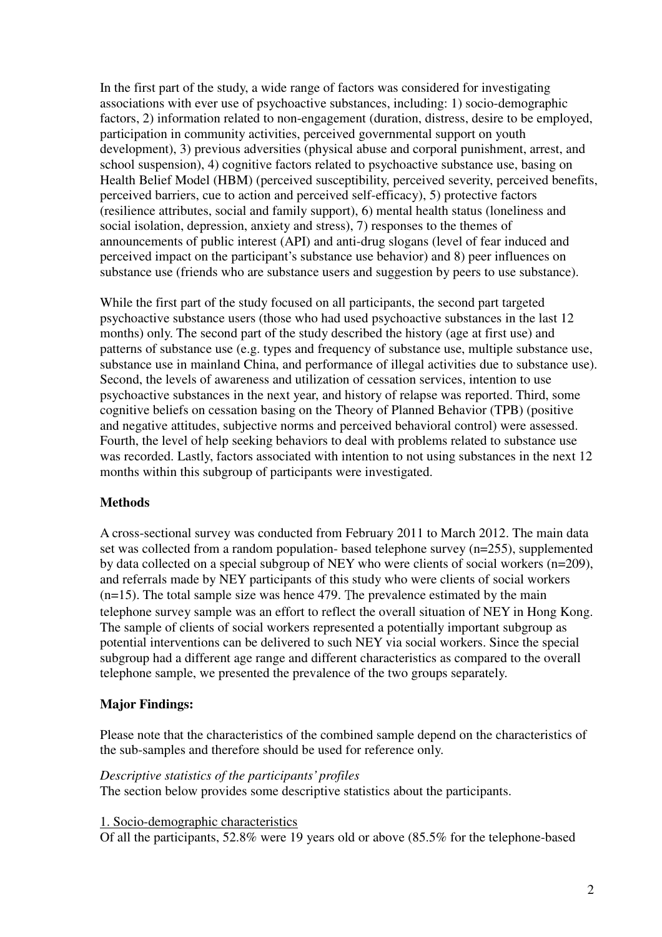In the first part of the study, a wide range of factors was considered for investigating associations with ever use of psychoactive substances, including: 1) socio-demographic factors, 2) information related to non-engagement (duration, distress, desire to be employed, participation in community activities, perceived governmental support on youth development), 3) previous adversities (physical abuse and corporal punishment, arrest, and school suspension), 4) cognitive factors related to psychoactive substance use, basing on Health Belief Model (HBM) (perceived susceptibility, perceived severity, perceived benefits, perceived barriers, cue to action and perceived self-efficacy), 5) protective factors (resilience attributes, social and family support), 6) mental health status (loneliness and social isolation, depression, anxiety and stress), 7) responses to the themes of announcements of public interest (API) and anti-drug slogans (level of fear induced and perceived impact on the participant's substance use behavior) and 8) peer influences on substance use (friends who are substance users and suggestion by peers to use substance).

While the first part of the study focused on all participants, the second part targeted psychoactive substance users (those who had used psychoactive substances in the last 12 months) only. The second part of the study described the history (age at first use) and patterns of substance use (e.g. types and frequency of substance use, multiple substance use, substance use in mainland China, and performance of illegal activities due to substance use). Second, the levels of awareness and utilization of cessation services, intention to use psychoactive substances in the next year, and history of relapse was reported. Third, some cognitive beliefs on cessation basing on the Theory of Planned Behavior (TPB) (positive and negative attitudes, subjective norms and perceived behavioral control) were assessed. Fourth, the level of help seeking behaviors to deal with problems related to substance use was recorded. Lastly, factors associated with intention to not using substances in the next 12 months within this subgroup of participants were investigated.

# **Methods**

A cross-sectional survey was conducted from February 2011 to March 2012. The main data set was collected from a random population- based telephone survey (n=255), supplemented by data collected on a special subgroup of NEY who were clients of social workers (n=209), and referrals made by NEY participants of this study who were clients of social workers  $(n=15)$ . The total sample size was hence 479. The prevalence estimated by the main telephone survey sample was an effort to reflect the overall situation of NEY in Hong Kong. The sample of clients of social workers represented a potentially important subgroup as potential interventions can be delivered to such NEY via social workers. Since the special subgroup had a different age range and different characteristics as compared to the overall telephone sample, we presented the prevalence of the two groups separately.

## **Major Findings:**

Please note that the characteristics of the combined sample depend on the characteristics of the sub-samples and therefore should be used for reference only.

#### *Descriptive statistics of the participants' profiles*

The section below provides some descriptive statistics about the participants.

1. Socio-demographic characteristics

Of all the participants, 52.8% were 19 years old or above (85.5% for the telephone-based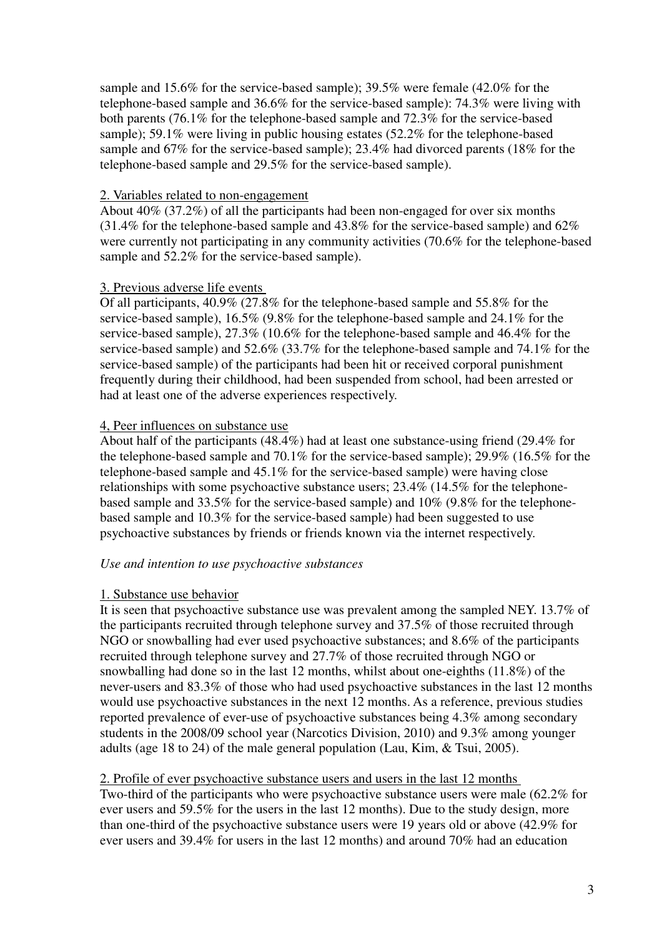sample and 15.6% for the service-based sample); 39.5% were female (42.0% for the telephone-based sample and 36.6% for the service-based sample): 74.3% were living with both parents (76.1% for the telephone-based sample and 72.3% for the service-based sample); 59.1% were living in public housing estates (52.2% for the telephone-based sample and 67% for the service-based sample); 23.4% had divorced parents (18% for the telephone-based sample and 29.5% for the service-based sample).

## 2. Variables related to non-engagement

About 40% (37.2%) of all the participants had been non-engaged for over six months (31.4% for the telephone-based sample and 43.8% for the service-based sample) and 62% were currently not participating in any community activities (70.6% for the telephone-based sample and 52.2% for the service-based sample).

## 3. Previous adverse life events

Of all participants, 40.9% (27.8% for the telephone-based sample and 55.8% for the service-based sample), 16.5% (9.8% for the telephone-based sample and 24.1% for the service-based sample), 27.3% (10.6% for the telephone-based sample and 46.4% for the service-based sample) and 52.6% (33.7% for the telephone-based sample and 74.1% for the service-based sample) of the participants had been hit or received corporal punishment frequently during their childhood, had been suspended from school, had been arrested or had at least one of the adverse experiences respectively.

#### 4, Peer influences on substance use

About half of the participants (48.4%) had at least one substance-using friend (29.4% for the telephone-based sample and 70.1% for the service-based sample); 29.9% (16.5% for the telephone-based sample and 45.1% for the service-based sample) were having close relationships with some psychoactive substance users; 23.4% (14.5% for the telephonebased sample and 33.5% for the service-based sample) and 10% (9.8% for the telephonebased sample and 10.3% for the service-based sample) had been suggested to use psychoactive substances by friends or friends known via the internet respectively.

## *Use and intention to use psychoactive substances*

#### 1. Substance use behavior

It is seen that psychoactive substance use was prevalent among the sampled NEY. 13.7% of the participants recruited through telephone survey and 37.5% of those recruited through NGO or snowballing had ever used psychoactive substances; and 8.6% of the participants recruited through telephone survey and 27.7% of those recruited through NGO or snowballing had done so in the last 12 months, whilst about one-eighths (11.8%) of the never-users and 83.3% of those who had used psychoactive substances in the last 12 months would use psychoactive substances in the next 12 months. As a reference, previous studies reported prevalence of ever-use of psychoactive substances being 4.3% among secondary students in the 2008/09 school year (Narcotics Division, 2010) and 9.3% among younger adults (age 18 to 24) of the male general population (Lau, Kim, & Tsui, 2005).

# 2. Profile of ever psychoactive substance users and users in the last 12 months

Two-third of the participants who were psychoactive substance users were male (62.2% for ever users and 59.5% for the users in the last 12 months). Due to the study design, more than one-third of the psychoactive substance users were 19 years old or above (42.9% for ever users and 39.4% for users in the last 12 months) and around 70% had an education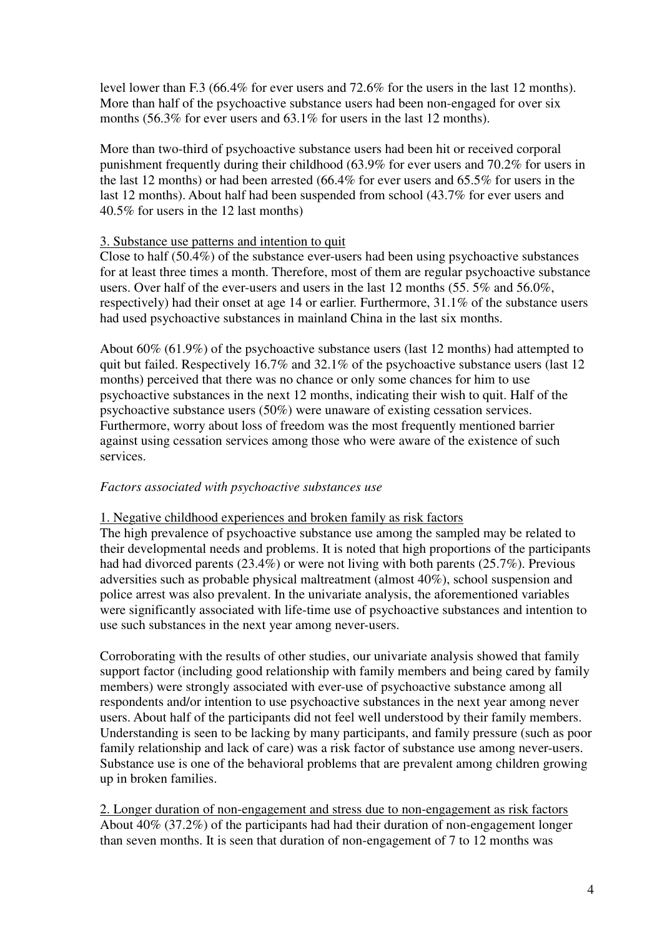level lower than F.3 (66.4% for ever users and 72.6% for the users in the last 12 months). More than half of the psychoactive substance users had been non-engaged for over six months (56.3% for ever users and 63.1% for users in the last 12 months).

More than two-third of psychoactive substance users had been hit or received corporal punishment frequently during their childhood (63.9% for ever users and 70.2% for users in the last 12 months) or had been arrested (66.4% for ever users and 65.5% for users in the last 12 months). About half had been suspended from school (43.7% for ever users and 40.5% for users in the 12 last months)

# 3. Substance use patterns and intention to quit

Close to half (50.4%) of the substance ever-users had been using psychoactive substances for at least three times a month. Therefore, most of them are regular psychoactive substance users. Over half of the ever-users and users in the last 12 months (55. 5% and 56.0%, respectively) had their onset at age 14 or earlier. Furthermore, 31.1% of the substance users had used psychoactive substances in mainland China in the last six months.

About 60% (61.9%) of the psychoactive substance users (last 12 months) had attempted to quit but failed. Respectively 16.7% and 32.1% of the psychoactive substance users (last 12 months) perceived that there was no chance or only some chances for him to use psychoactive substances in the next 12 months, indicating their wish to quit. Half of the psychoactive substance users (50%) were unaware of existing cessation services. Furthermore, worry about loss of freedom was the most frequently mentioned barrier against using cessation services among those who were aware of the existence of such services.

# *Factors associated with psychoactive substances use*

## 1. Negative childhood experiences and broken family as risk factors

The high prevalence of psychoactive substance use among the sampled may be related to their developmental needs and problems. It is noted that high proportions of the participants had had divorced parents (23.4%) or were not living with both parents (25.7%). Previous adversities such as probable physical maltreatment (almost 40%), school suspension and police arrest was also prevalent. In the univariate analysis, the aforementioned variables were significantly associated with life-time use of psychoactive substances and intention to use such substances in the next year among never-users.

Corroborating with the results of other studies, our univariate analysis showed that family support factor (including good relationship with family members and being cared by family members) were strongly associated with ever-use of psychoactive substance among all respondents and/or intention to use psychoactive substances in the next year among never users. About half of the participants did not feel well understood by their family members. Understanding is seen to be lacking by many participants, and family pressure (such as poor family relationship and lack of care) was a risk factor of substance use among never-users. Substance use is one of the behavioral problems that are prevalent among children growing up in broken families.

2. Longer duration of non-engagement and stress due to non-engagement as risk factors About 40% (37.2%) of the participants had had their duration of non-engagement longer than seven months. It is seen that duration of non-engagement of 7 to 12 months was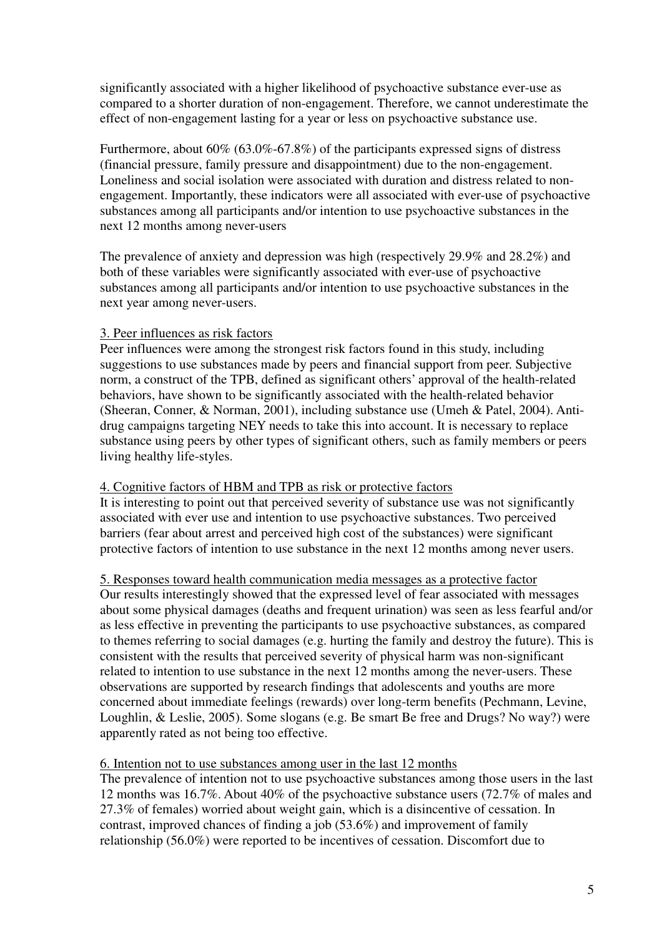significantly associated with a higher likelihood of psychoactive substance ever-use as compared to a shorter duration of non-engagement. Therefore, we cannot underestimate the effect of non-engagement lasting for a year or less on psychoactive substance use.

Furthermore, about 60% (63.0%-67.8%) of the participants expressed signs of distress (financial pressure, family pressure and disappointment) due to the non-engagement. Loneliness and social isolation were associated with duration and distress related to nonengagement. Importantly, these indicators were all associated with ever-use of psychoactive substances among all participants and/or intention to use psychoactive substances in the next 12 months among never-users

The prevalence of anxiety and depression was high (respectively 29.9% and 28.2%) and both of these variables were significantly associated with ever-use of psychoactive substances among all participants and/or intention to use psychoactive substances in the next year among never-users.

# 3. Peer influences as risk factors

Peer influences were among the strongest risk factors found in this study, including suggestions to use substances made by peers and financial support from peer. Subjective norm, a construct of the TPB, defined as significant others' approval of the health-related behaviors, have shown to be significantly associated with the health-related behavior (Sheeran, Conner, & Norman, 2001), including substance use (Umeh & Patel, 2004). Antidrug campaigns targeting NEY needs to take this into account. It is necessary to replace substance using peers by other types of significant others, such as family members or peers living healthy life-styles.

## 4. Cognitive factors of HBM and TPB as risk or protective factors

It is interesting to point out that perceived severity of substance use was not significantly associated with ever use and intention to use psychoactive substances. Two perceived barriers (fear about arrest and perceived high cost of the substances) were significant protective factors of intention to use substance in the next 12 months among never users.

## 5. Responses toward health communication media messages as a protective factor

Our results interestingly showed that the expressed level of fear associated with messages about some physical damages (deaths and frequent urination) was seen as less fearful and/or as less effective in preventing the participants to use psychoactive substances, as compared to themes referring to social damages (e.g. hurting the family and destroy the future). This is consistent with the results that perceived severity of physical harm was non-significant related to intention to use substance in the next 12 months among the never-users. These observations are supported by research findings that adolescents and youths are more concerned about immediate feelings (rewards) over long-term benefits (Pechmann, Levine, Loughlin, & Leslie, 2005). Some slogans (e.g. Be smart Be free and Drugs? No way?) were apparently rated as not being too effective.

## 6. Intention not to use substances among user in the last 12 months

The prevalence of intention not to use psychoactive substances among those users in the last 12 months was 16.7%. About 40% of the psychoactive substance users (72.7% of males and 27.3% of females) worried about weight gain, which is a disincentive of cessation. In contrast, improved chances of finding a job (53.6%) and improvement of family relationship (56.0%) were reported to be incentives of cessation. Discomfort due to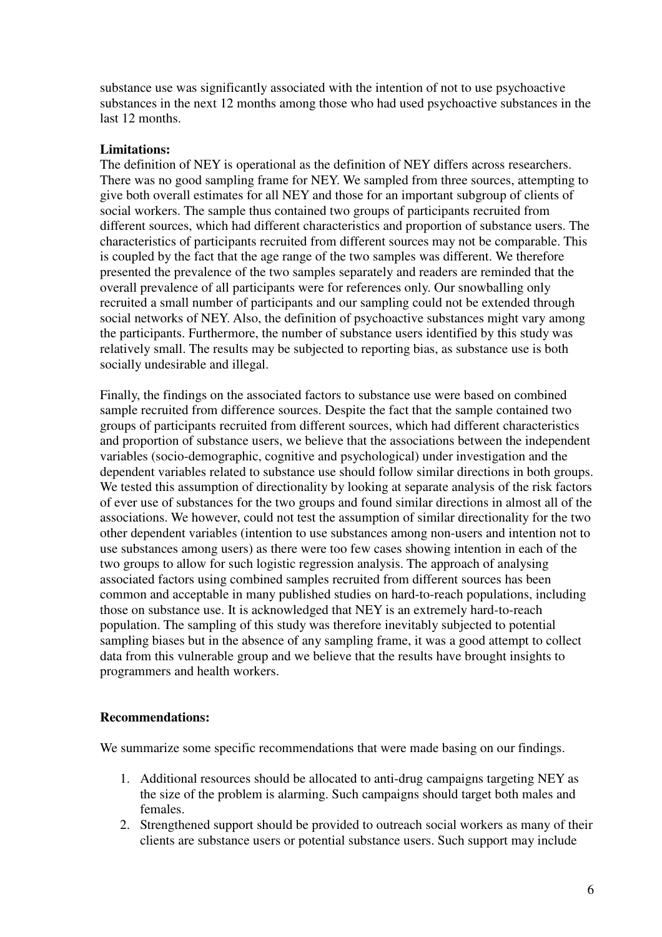substance use was significantly associated with the intention of not to use psychoactive substances in the next 12 months among those who had used psychoactive substances in the last 12 months.

# **Limitations:**

The definition of NEY is operational as the definition of NEY differs across researchers. There was no good sampling frame for NEY. We sampled from three sources, attempting to give both overall estimates for all NEY and those for an important subgroup of clients of social workers. The sample thus contained two groups of participants recruited from different sources, which had different characteristics and proportion of substance users. The characteristics of participants recruited from different sources may not be comparable. This is coupled by the fact that the age range of the two samples was different. We therefore presented the prevalence of the two samples separately and readers are reminded that the overall prevalence of all participants were for references only. Our snowballing only recruited a small number of participants and our sampling could not be extended through social networks of NEY. Also, the definition of psychoactive substances might vary among the participants. Furthermore, the number of substance users identified by this study was relatively small. The results may be subjected to reporting bias, as substance use is both socially undesirable and illegal.

Finally, the findings on the associated factors to substance use were based on combined sample recruited from difference sources. Despite the fact that the sample contained two groups of participants recruited from different sources, which had different characteristics and proportion of substance users, we believe that the associations between the independent variables (socio-demographic, cognitive and psychological) under investigation and the dependent variables related to substance use should follow similar directions in both groups. We tested this assumption of directionality by looking at separate analysis of the risk factors of ever use of substances for the two groups and found similar directions in almost all of the associations. We however, could not test the assumption of similar directionality for the two other dependent variables (intention to use substances among non-users and intention not to use substances among users) as there were too few cases showing intention in each of the two groups to allow for such logistic regression analysis. The approach of analysing associated factors using combined samples recruited from different sources has been common and acceptable in many published studies on hard-to-reach populations, including those on substance use. It is acknowledged that NEY is an extremely hard-to-reach population. The sampling of this study was therefore inevitably subjected to potential sampling biases but in the absence of any sampling frame, it was a good attempt to collect data from this vulnerable group and we believe that the results have brought insights to programmers and health workers.

## **Recommendations:**

We summarize some specific recommendations that were made basing on our findings.

- 1. Additional resources should be allocated to anti-drug campaigns targeting NEY as the size of the problem is alarming. Such campaigns should target both males and females.
- 2. Strengthened support should be provided to outreach social workers as many of their clients are substance users or potential substance users. Such support may include